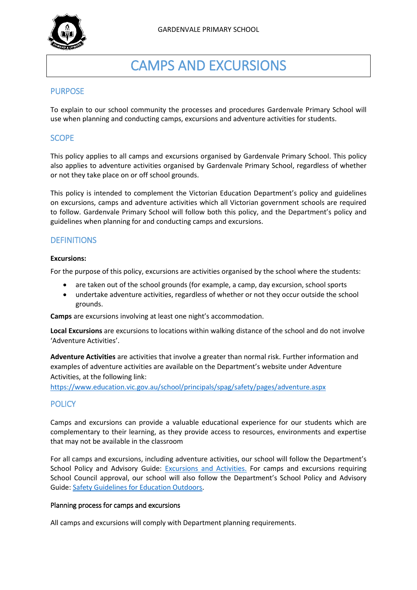

# CAMPS AND EXCURSIONS

## PURPOSE

To explain to our school community the processes and procedures Gardenvale Primary School will use when planning and conducting camps, excursions and adventure activities for students.

## **SCOPE**

This policy applies to all camps and excursions organised by Gardenvale Primary School. This policy also applies to adventure activities organised by Gardenvale Primary School, regardless of whether or not they take place on or off school grounds.

This policy is intended to complement the Victorian Education Department's policy and guidelines on excursions, camps and adventure activities which all Victorian government schools are required to follow. Gardenvale Primary School will follow both this policy, and the Department's policy and guidelines when planning for and conducting camps and excursions.

## **DEFINITIONS**

#### **Excursions:**

For the purpose of this policy, excursions are activities organised by the school where the students:

- are taken out of the school grounds (for example, a camp, day excursion, school sports
- undertake adventure activities, regardless of whether or not they occur outside the school grounds.

**Camps** are excursions involving at least one night's accommodation.

**Local Excursions** are excursions to locations within walking distance of the school and do not involve 'Adventure Activities'.

**Adventure Activities** are activities that involve a greater than normal risk. Further information and examples of adventure activities are available on the Department's website under Adventure Activities, at the following link:

<https://www.education.vic.gov.au/school/principals/spag/safety/pages/adventure.aspx>

# **POLICY**

Camps and excursions can provide a valuable educational experience for our students which are complementary to their learning, as they provide access to resources, environments and expertise that may not be available in the classroom

For all camps and excursions, including adventure activities, our school will follow the Department's School Policy and Advisory Guide: [Excursions and Activities.](http://www.education.vic.gov.au/school/principals/spag/safety/pages/excursions.aspx) For camps and excursions requiring School Council approval, our school will also follow the Department's School Policy and Advisory Guide: [Safety Guidelines for Education Outdoors.](https://www.education.vic.gov.au/school/teachers/studentmanagement/excursions/Pages/outdoorguidelines.aspx)

## Planning process for camps and excursions

All camps and excursions will comply with Department planning requirements.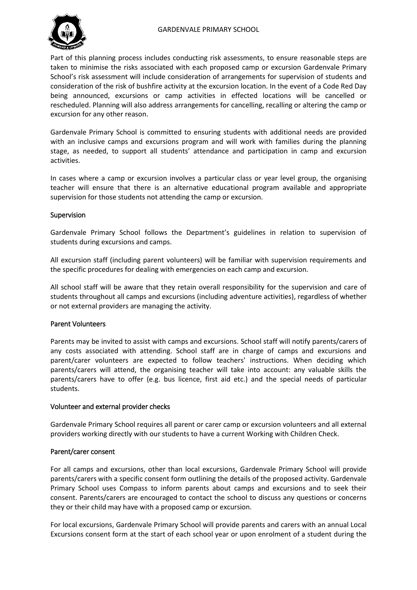## GARDENVALE PRIMARY SCHOOL



Part of this planning process includes conducting risk assessments, to ensure reasonable steps are taken to minimise the risks associated with each proposed camp or excursion Gardenvale Primary School's risk assessment will include consideration of arrangements for supervision of students and consideration of the risk of bushfire activity at the excursion location. In the event of a Code Red Day being announced, excursions or camp activities in effected locations will be cancelled or rescheduled. Planning will also address arrangements for cancelling, recalling or altering the camp or excursion for any other reason.

Gardenvale Primary School is committed to ensuring students with additional needs are provided with an inclusive camps and excursions program and will work with families during the planning stage, as needed, to support all students' attendance and participation in camp and excursion activities.

In cases where a camp or excursion involves a particular class or year level group, the organising teacher will ensure that there is an alternative educational program available and appropriate supervision for those students not attending the camp or excursion.

## Supervision

Gardenvale Primary School follows the Department's guidelines in relation to supervision of students during excursions and camps.

All excursion staff (including parent volunteers) will be familiar with supervision requirements and the specific procedures for dealing with emergencies on each camp and excursion.

All school staff will be aware that they retain overall responsibility for the supervision and care of students throughout all camps and excursions (including adventure activities), regardless of whether or not external providers are managing the activity.

## Parent Volunteers

Parents may be invited to assist with camps and excursions. School staff will notify parents/carers of any costs associated with attending. School staff are in charge of camps and excursions and parent/carer volunteers are expected to follow teachers' instructions. When deciding which parents/carers will attend, the organising teacher will take into account: any valuable skills the parents/carers have to offer (e.g. bus licence, first aid etc.) and the special needs of particular students.

## Volunteer and external provider checks

Gardenvale Primary School requires all parent or carer camp or excursion volunteers and all external providers working directly with our students to have a current Working with Children Check.

## Parent/carer consent

For all camps and excursions, other than local excursions, Gardenvale Primary School will provide parents/carers with a specific consent form outlining the details of the proposed activity. Gardenvale Primary School uses Compass to inform parents about camps and excursions and to seek their consent. Parents/carers are encouraged to contact the school to discuss any questions or concerns they or their child may have with a proposed camp or excursion.

For local excursions, Gardenvale Primary School will provide parents and carers with an annual Local Excursions consent form at the start of each school year or upon enrolment of a student during the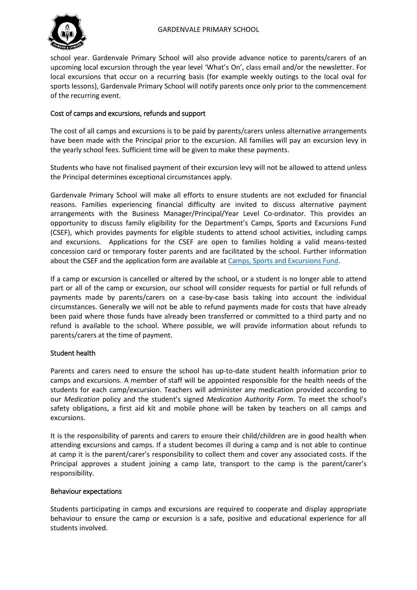



school year. Gardenvale Primary School will also provide advance notice to parents/carers of an upcoming local excursion through the year level 'What's On', class email and/or the newsletter. For local excursions that occur on a recurring basis (for example weekly outings to the local oval for sports lessons), Gardenvale Primary School will notify parents once only prior to the commencement of the recurring event.

## Cost of camps and excursions, refunds and support

The cost of all camps and excursions is to be paid by parents/carers unless alternative arrangements have been made with the Principal prior to the excursion. All families will pay an excursion levy in the yearly school fees. Sufficient time will be given to make these payments.

Students who have not finalised payment of their excursion levy will not be allowed to attend unless the Principal determines exceptional circumstances apply.

Gardenvale Primary School will make all efforts to ensure students are not excluded for financial reasons. Families experiencing financial difficulty are invited to discuss alternative payment arrangements with the Business Manager/Principal/Year Level Co-ordinator. This provides an opportunity to discuss family eligibility for the Department's Camps, Sports and Excursions Fund (CSEF), which provides payments for eligible students to attend school activities, including camps and excursions. Applications for the CSEF are open to families holding a valid means-tested concession card or temporary foster parents and are facilitated by the school. Further information about the CSEF and the application form are available a[t Camps, Sports and Excursions Fund.](http://www.education.vic.gov.au/about/programs/Pages/csef.aspx)

If a camp or excursion is cancelled or altered by the school, or a student is no longer able to attend part or all of the camp or excursion, our school will consider requests for partial or full refunds of payments made by parents/carers on a case-by-case basis taking into account the individual circumstances. Generally we will not be able to refund payments made for costs that have already been paid where those funds have already been transferred or committed to a third party and no refund is available to the school. Where possible, we will provide information about refunds to parents/carers at the time of payment.

## Student health

Parents and carers need to ensure the school has up-to-date student health information prior to camps and excursions. A member of staff will be appointed responsible for the health needs of the students for each camp/excursion. Teachers will administer any medication provided according to our *Medication* policy and the student's signed *Medication Authority Form*. To meet the school's safety obligations, a first aid kit and mobile phone will be taken by teachers on all camps and excursions.

It is the responsibility of parents and carers to ensure their child/children are in good health when attending excursions and camps. If a student becomes ill during a camp and is not able to continue at camp it is the parent/carer's responsibility to collect them and cover any associated costs. If the Principal approves a student joining a camp late, transport to the camp is the parent/carer's responsibility.

## Behaviour expectations

Students participating in camps and excursions are required to cooperate and display appropriate behaviour to ensure the camp or excursion is a safe, positive and educational experience for all students involved.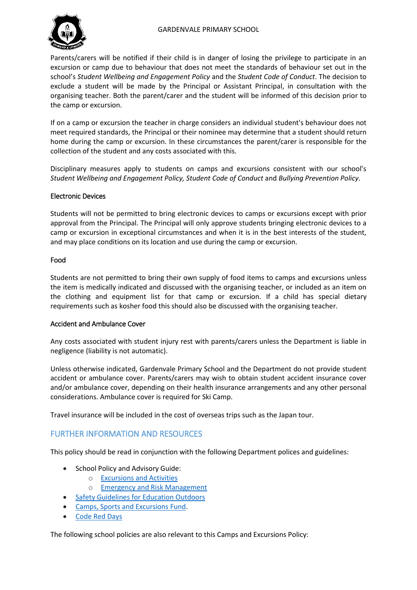## GARDENVALE PRIMARY SCHOOL



Parents/carers will be notified if their child is in danger of losing the privilege to participate in an excursion or camp due to behaviour that does not meet the standards of behaviour set out in the school's *Student Wellbeing and Engagement Policy* and the *Student Code of Conduct*. The decision to exclude a student will be made by the Principal or Assistant Principal, in consultation with the organising teacher. Both the parent/carer and the student will be informed of this decision prior to the camp or excursion.

If on a camp or excursion the teacher in charge considers an individual student's behaviour does not meet required standards, the Principal or their nominee may determine that a student should return home during the camp or excursion. In these circumstances the parent/carer is responsible for the collection of the student and any costs associated with this.

Disciplinary measures apply to students on camps and excursions consistent with our school's *Student Wellbeing and Engagement Policy, Student Code of Conduct* and *Bullying Prevention Policy*.

## Electronic Devices

Students will not be permitted to bring electronic devices to camps or excursions except with prior approval from the Principal. The Principal will only approve students bringing electronic devices to a camp or excursion in exceptional circumstances and when it is in the best interests of the student, and may place conditions on its location and use during the camp or excursion.

## Food

Students are not permitted to bring their own supply of food items to camps and excursions unless the item is medically indicated and discussed with the organising teacher, or included as an item on the clothing and equipment list for that camp or excursion. If a child has special dietary requirements such as kosher food this should also be discussed with the organising teacher.

## Accident and Ambulance Cover

Any costs associated with student injury rest with parents/carers unless the Department is liable in negligence (liability is not automatic).

Unless otherwise indicated, Gardenvale Primary School and the Department do not provide student accident or ambulance cover. Parents/carers may wish to obtain student accident insurance cover and/or ambulance cover, depending on their health insurance arrangements and any other personal considerations. Ambulance cover is required for Ski Camp.

Travel insurance will be included in the cost of overseas trips such as the Japan tour.

# FURTHER INFORMATION AND RESOURCES

This policy should be read in conjunction with the following Department polices and guidelines:

- School Policy and Advisory Guide:
	- o [Excursions and Activities](http://www.education.vic.gov.au/school/principals/spag/safety/Pages/excursions.aspx)
	- o [Emergency and Risk Management](http://www.education.vic.gov.au/school/principals/spag/safety/Pages/excursionsafety.aspx)
- [Safety Guidelines for Education Outdoors](https://www.education.vic.gov.au/school/teachers/studentmanagement/excursions/Pages/outdoorguidelines.aspx)
- [Camps, Sports and Excursions Fund.](http://www.education.vic.gov.au/about/programs/Pages/csef.aspx)
- [Code Red Days](https://www.education.vic.gov.au/about/programs/health/Pages/coderedabout.aspx)

The following school policies are also relevant to this Camps and Excursions Policy: